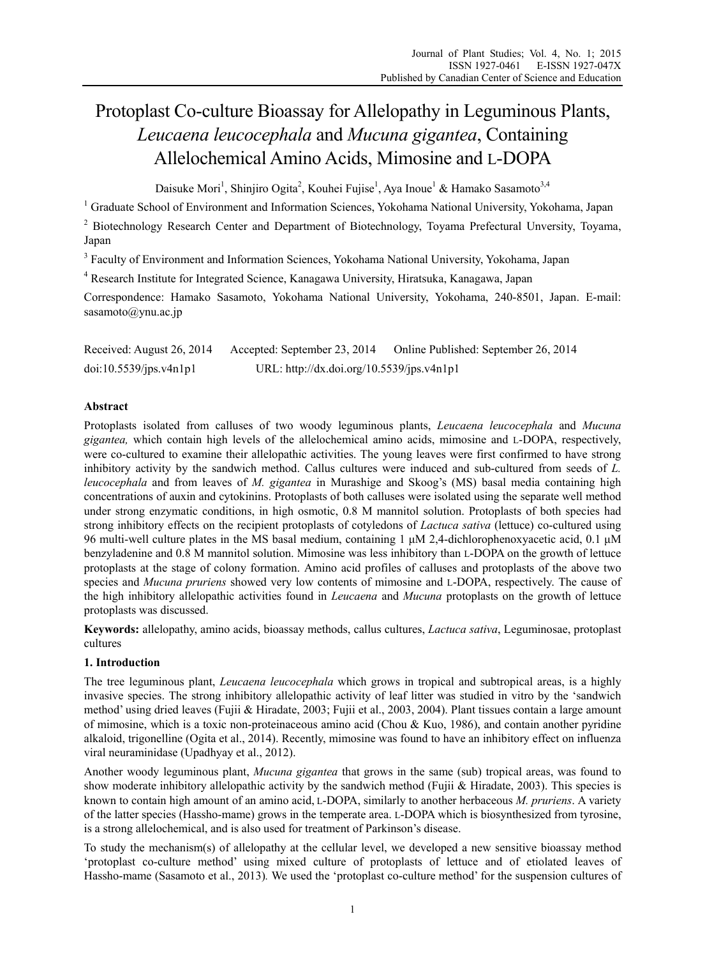# Protoplast Co-culture Bioassay for Allelopathy in Leguminous Plants, *Leucaena leucocephala* and *Mucuna gigantea*, Containing Allelochemical Amino Acids, Mimosine and L-DOPA

Daisuke Mori<sup>1</sup>, Shinjiro Ogita<sup>2</sup>, Kouhei Fujise<sup>1</sup>, Aya Inoue<sup>1</sup> & Hamako Sasamoto<sup>3,4</sup>

<sup>1</sup> Graduate School of Environment and Information Sciences, Yokohama National University, Yokohama, Japan

<sup>2</sup> Biotechnology Research Center and Department of Biotechnology, Toyama Prefectural Unversity, Toyama, Japan

<sup>3</sup> Faculty of Environment and Information Sciences, Yokohama National University, Yokohama, Japan

4 Research Institute for Integrated Science, Kanagawa University, Hiratsuka, Kanagawa, Japan

Correspondence: Hamako Sasamoto, Yokohama National University, Yokohama, 240-8501, Japan. E-mail: sasamoto@ynu.ac.jp

Received: August 26, 2014 Accepted: September 23, 2014 Online Published: September 26, 2014 doi:10.5539/jps.v4n1p1 URL: http://dx.doi.org/10.5539/jps.v4n1p1

# **Abstract**

Protoplasts isolated from calluses of two woody leguminous plants, *Leucaena leucocephala* and *Mucuna gigantea,* which contain high levels of the allelochemical amino acids, mimosine and L-DOPA, respectively, were co-cultured to examine their allelopathic activities. The young leaves were first confirmed to have strong inhibitory activity by the sandwich method. Callus cultures were induced and sub-cultured from seeds of *L. leucocephala* and from leaves of *M. gigantea* in Murashige and Skoog's (MS) basal media containing high concentrations of auxin and cytokinins. Protoplasts of both calluses were isolated using the separate well method under strong enzymatic conditions, in high osmotic, 0.8 M mannitol solution. Protoplasts of both species had strong inhibitory effects on the recipient protoplasts of cotyledons of *Lactuca sativa* (lettuce) co-cultured using 96 multi-well culture plates in the MS basal medium, containing 1 μM 2,4-dichlorophenoxyacetic acid, 0.1 μM benzyladenine and 0.8 M mannitol solution. Mimosine was less inhibitory than L-DOPA on the growth of lettuce protoplasts at the stage of colony formation. Amino acid profiles of calluses and protoplasts of the above two species and *Mucuna pruriens* showed very low contents of mimosine and L-DOPA, respectively. The cause of the high inhibitory allelopathic activities found in *Leucaena* and *Mucuna* protoplasts on the growth of lettuce protoplasts was discussed.

**Keywords:** allelopathy, amino acids, bioassay methods, callus cultures, *Lactuca sativa*, Leguminosae, protoplast cultures

# **1. Introduction**

The tree leguminous plant, *Leucaena leucocephala* which grows in tropical and subtropical areas, is a highly invasive species. The strong inhibitory allelopathic activity of leaf litter was studied in vitro by the 'sandwich method' using dried leaves (Fujii & Hiradate, 2003; Fujii et al., 2003, 2004). Plant tissues contain a large amount of mimosine, which is a toxic non-proteinaceous amino acid (Chou & Kuo, 1986), and contain another pyridine alkaloid, trigonelline (Ogita et al., 2014). Recently, mimosine was found to have an inhibitory effect on influenza viral neuraminidase (Upadhyay et al., 2012).

Another woody leguminous plant, *Mucuna gigantea* that grows in the same (sub) tropical areas, was found to show moderate inhibitory allelopathic activity by the sandwich method (Fujii & Hiradate, 2003). This species is known to contain high amount of an amino acid, L-DOPA, similarly to another herbaceous *M. pruriens*. A variety of the latter species (Hassho-mame) grows in the temperate area. L-DOPA which is biosynthesized from tyrosine, is a strong allelochemical, and is also used for treatment of Parkinson's disease.

To study the mechanism(s) of allelopathy at the cellular level, we developed a new sensitive bioassay method 'protoplast co-culture method' using mixed culture of protoplasts of lettuce and of etiolated leaves of Hassho-mame (Sasamoto et al., 2013)*.* We used the 'protoplast co-culture method' for the suspension cultures of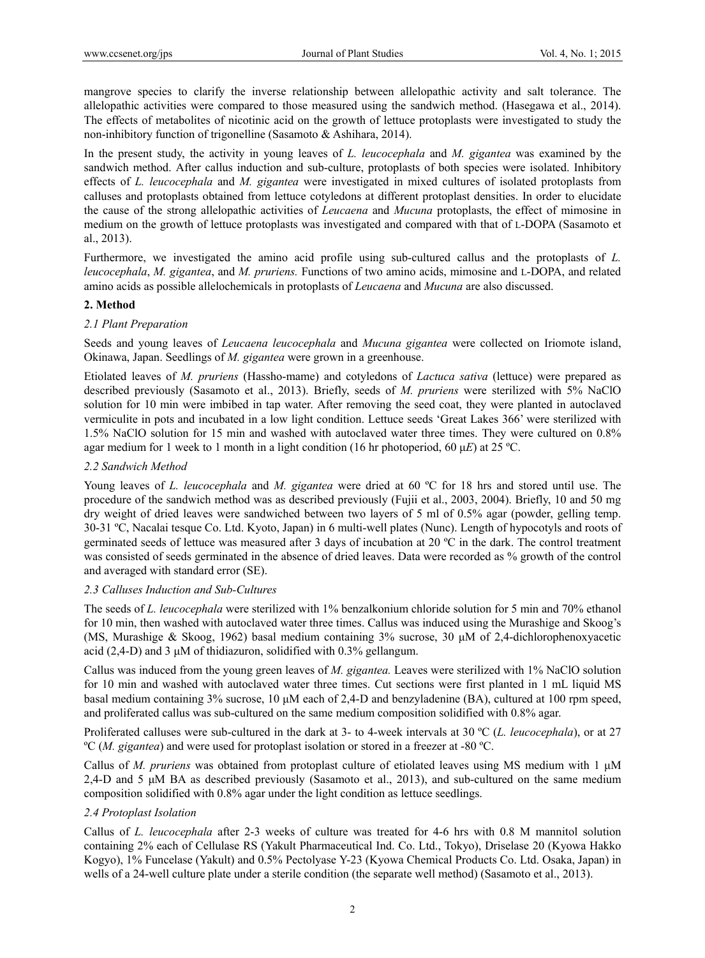mangrove species to clarify the inverse relationship between allelopathic activity and salt tolerance. The allelopathic activities were compared to those measured using the sandwich method. (Hasegawa et al., 2014). The effects of metabolites of nicotinic acid on the growth of lettuce protoplasts were investigated to study the non-inhibitory function of trigonelline (Sasamoto & Ashihara, 2014).

In the present study, the activity in young leaves of *L. leucocephala* and *M. gigantea* was examined by the sandwich method. After callus induction and sub-culture, protoplasts of both species were isolated. Inhibitory effects of *L. leucocephala* and *M. gigantea* were investigated in mixed cultures of isolated protoplasts from calluses and protoplasts obtained from lettuce cotyledons at different protoplast densities. In order to elucidate the cause of the strong allelopathic activities of *Leucaena* and *Mucuna* protoplasts, the effect of mimosine in medium on the growth of lettuce protoplasts was investigated and compared with that of L-DOPA (Sasamoto et al., 2013).

Furthermore, we investigated the amino acid profile using sub-cultured callus and the protoplasts of *L. leucocephala*, *M. gigantea*, and *M. pruriens.* Functions of two amino acids, mimosine and L-DOPA, and related amino acids as possible allelochemicals in protoplasts of *Leucaena* and *Mucuna* are also discussed.

## **2. Method**

# *2.1 Plant Preparation*

Seeds and young leaves of *Leucaena leucocephala* and *Mucuna gigantea* were collected on Iriomote island, Okinawa, Japan. Seedlings of *M. gigantea* were grown in a greenhouse.

Etiolated leaves of *M. pruriens* (Hassho-mame) and cotyledons of *Lactuca sativa* (lettuce) were prepared as described previously (Sasamoto et al., 2013). Briefly, seeds of *M. pruriens* were sterilized with 5% NaClO solution for 10 min were imbibed in tap water. After removing the seed coat, they were planted in autoclaved vermiculite in pots and incubated in a low light condition. Lettuce seeds 'Great Lakes 366' were sterilized with 1.5% NaClO solution for 15 min and washed with autoclaved water three times. They were cultured on 0.8% agar medium for 1 week to 1 month in a light condition (16 hr photoperiod, 60 μ*E*) at 25 ºC.

# *2.2 Sandwich Method*

Young leaves of *L. leucocephala* and *M. gigantea* were dried at 60 ºC for 18 hrs and stored until use. The procedure of the sandwich method was as described previously (Fujii et al., 2003, 2004). Briefly, 10 and 50 mg dry weight of dried leaves were sandwiched between two layers of 5 ml of 0.5% agar (powder, gelling temp. 30-31 ºC, Nacalai tesque Co. Ltd. Kyoto, Japan) in 6 multi-well plates (Nunc). Length of hypocotyls and roots of germinated seeds of lettuce was measured after 3 days of incubation at 20 ºC in the dark. The control treatment was consisted of seeds germinated in the absence of dried leaves. Data were recorded as % growth of the control and averaged with standard error (SE).

## *2.3 Calluses Induction and Sub-Cultures*

The seeds of *L. leucocephala* were sterilized with 1% benzalkonium chloride solution for 5 min and 70% ethanol for 10 min, then washed with autoclaved water three times. Callus was induced using the Murashige and Skoog's (MS, Murashige & Skoog, 1962) basal medium containing 3% sucrose, 30 μM of 2,4-dichlorophenoxyacetic acid (2,4-D) and 3 μM of thidiazuron, solidified with 0.3% gellangum.

Callus was induced from the young green leaves of *M. gigantea.* Leaves were sterilized with 1% NaClO solution for 10 min and washed with autoclaved water three times. Cut sections were first planted in 1 mL liquid MS basal medium containing 3% sucrose, 10 μM each of 2,4-D and benzyladenine (BA), cultured at 100 rpm speed, and proliferated callus was sub-cultured on the same medium composition solidified with 0.8% agar.

Proliferated calluses were sub-cultured in the dark at 3- to 4-week intervals at 30 ºC (*L. leucocephala*), or at 27 ºC (*M. gigantea*) and were used for protoplast isolation or stored in a freezer at -80 ºC.

Callus of *M. pruriens* was obtained from protoplast culture of etiolated leaves using MS medium with 1 μM 2,4-D and 5 μM BA as described previously (Sasamoto et al., 2013), and sub-cultured on the same medium composition solidified with 0.8% agar under the light condition as lettuce seedlings.

# *2.4 Protoplast Isolation*

Callus of *L. leucocephala* after 2-3 weeks of culture was treated for 4-6 hrs with 0.8 M mannitol solution containing 2% each of Cellulase RS (Yakult Pharmaceutical Ind. Co. Ltd., Tokyo), Driselase 20 (Kyowa Hakko Kogyo), 1% Funcelase (Yakult) and 0.5% Pectolyase Y-23 (Kyowa Chemical Products Co. Ltd. Osaka, Japan) in wells of a 24-well culture plate under a sterile condition (the separate well method) (Sasamoto et al., 2013).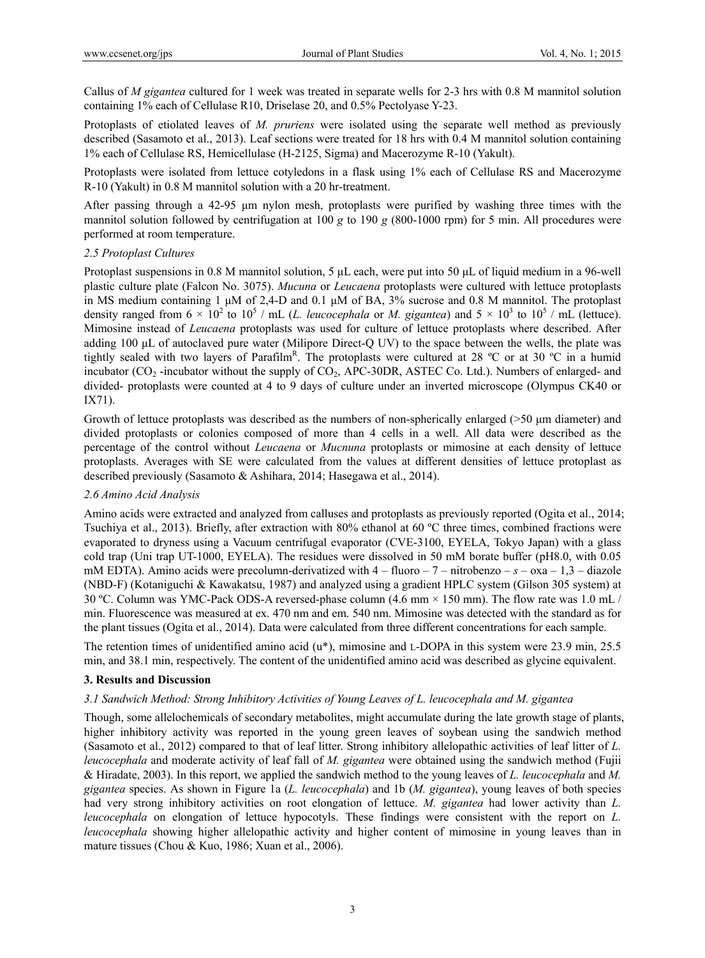Callus of *M gigantea* cultured for 1 week was treated in separate wells for 2-3 hrs with 0.8 M mannitol solution containing 1% each of Cellulase R10, Driselase 20, and 0.5% Pectolyase Y-23.

Protoplasts of etiolated leaves of *M. pruriens* were isolated using the separate well method as previously described (Sasamoto et al., 2013). Leaf sections were treated for 18 hrs with 0.4 M mannitol solution containing 1% each of Cellulase RS, Hemicellulase (H-2125, Sigma) and Macerozyme R-10 (Yakult).

Protoplasts were isolated from lettuce cotyledons in a flask using 1% each of Cellulase RS and Macerozyme R-10 (Yakult) in 0.8 M mannitol solution with a 20 hr-treatment.

After passing through a 42-95 μm nylon mesh, protoplasts were purified by washing three times with the mannitol solution followed by centrifugation at 100 *g* to 190 *g* (800-1000 rpm) for 5 min. All procedures were performed at room temperature.

## *2.5 Protoplast Cultures*

Protoplast suspensions in 0.8 M mannitol solution, 5 μL each, were put into 50 μL of liquid medium in a 96-well plastic culture plate (Falcon No. 3075). *Mucuna* or *Leucaena* protoplasts were cultured with lettuce protoplasts in MS medium containing 1 μM of 2,4-D and 0.1 μM of BA, 3% sucrose and 0.8 M mannitol. The protoplast density ranged from  $6 \times 10^2$  to  $10^5$  / mL (L. leucocephala or M. gigantea) and  $5 \times 10^3$  to  $10^5$  / mL (lettuce). Mimosine instead of *Leucaena* protoplasts was used for culture of lettuce protoplasts where described. After adding 100 μL of autoclaved pure water (Milipore Direct-Q UV) to the space between the wells, the plate was tightly sealed with two layers of Parafilm<sup>R</sup>. The protoplasts were cultured at 28 °C or at 30 °C in a humid incubator ( $CO<sub>2</sub>$  -incubator without the supply of  $CO<sub>2</sub>$ , APC-30DR, ASTEC Co. Ltd.). Numbers of enlarged- and divided- protoplasts were counted at 4 to 9 days of culture under an inverted microscope (Olympus CK40 or IX71).

Growth of lettuce protoplasts was described as the numbers of non-spherically enlarged (>50 μm diameter) and divided protoplasts or colonies composed of more than 4 cells in a well. All data were described as the percentage of the control without *Leucaena* or *Mucnuna* protoplasts or mimosine at each density of lettuce protoplasts. Averages with SE were calculated from the values at different densities of lettuce protoplast as described previously (Sasamoto & Ashihara, 2014; Hasegawa et al., 2014).

## *2.6 Amino Acid Analysis*

Amino acids were extracted and analyzed from calluses and protoplasts as previously reported (Ogita et al., 2014; Tsuchiya et al., 2013). Briefly, after extraction with 80% ethanol at 60 ºC three times, combined fractions were evaporated to dryness using a Vacuum centrifugal evaporator (CVE-3100, EYELA, Tokyo Japan) with a glass cold trap (Uni trap UT-1000, EYELA). The residues were dissolved in 50 mM borate buffer (pH8.0, with 0.05 mM EDTA). Amino acids were precolumn-derivatized with 4 – fluoro – 7 – nitrobenzo – *s* – oxa – 1,3 – diazole (NBD-F) (Kotaniguchi & Kawakatsu, 1987) and analyzed using a gradient HPLC system (Gilson 305 system) at 30 ºC. Column was YMC-Pack ODS-A reversed-phase column (4.6 mm × 150 mm). The flow rate was 1.0 mL / min. Fluorescence was measured at ex. 470 nm and em. 540 nm. Mimosine was detected with the standard as for the plant tissues (Ogita et al., 2014). Data were calculated from three different concentrations for each sample.

The retention times of unidentified amino acid (u\*), mimosine and L-DOPA in this system were 23.9 min, 25.5 min, and 38.1 min, respectively. The content of the unidentified amino acid was described as glycine equivalent.

## **3. Results and Discussion**

## *3.1 Sandwich Method: Strong Inhibitory Activities of Young Leaves of L. leucocephala and M. gigantea*

Though, some allelochemicals of secondary metabolites, might accumulate during the late growth stage of plants, higher inhibitory activity was reported in the young green leaves of soybean using the sandwich method (Sasamoto et al., 2012) compared to that of leaf litter. Strong inhibitory allelopathic activities of leaf litter of *L. leucocephala* and moderate activity of leaf fall of *M. gigantea* were obtained using the sandwich method (Fujii & Hiradate, 2003). In this report, we applied the sandwich method to the young leaves of *L. leucocephala* and *M. gigantea* species. As shown in Figure 1a (*L. leucocephala*) and 1b (*M. gigantea*), young leaves of both species had very strong inhibitory activities on root elongation of lettuce. *M. gigantea* had lower activity than *L. leucocephala* on elongation of lettuce hypocotyls. These findings were consistent with the report on *L. leucocephala* showing higher allelopathic activity and higher content of mimosine in young leaves than in mature tissues (Chou & Kuo, 1986; Xuan et al., 2006).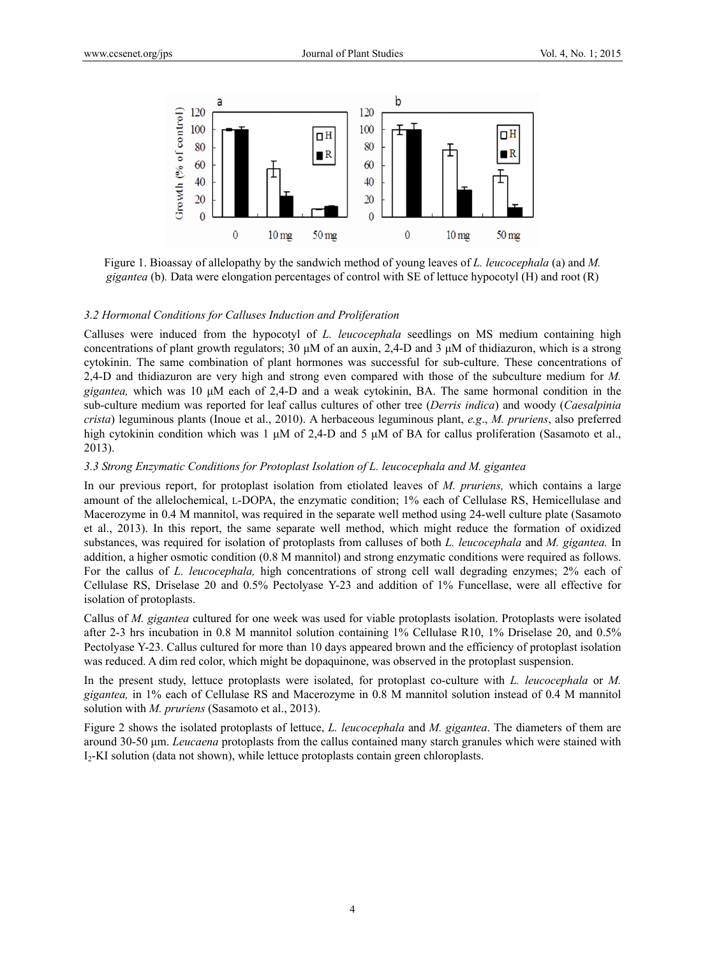

Figure 1. Bioassay of allelopathy by the sandwich method of young leaves of *L. leucocephala* (a) and *M. gigantea* (b)*.* Data were elongation percentages of control with SE of lettuce hypocotyl (H) and root (R)

#### *3.2 Hormonal Conditions for Calluses Induction and Proliferation*

Calluses were induced from the hypocotyl of *L. leucocephala* seedlings on MS medium containing high concentrations of plant growth regulators; 30 μM of an auxin, 2,4-D and 3 μM of thidiazuron, which is a strong cytokinin. The same combination of plant hormones was successful for sub-culture. These concentrations of 2,4-D and thidiazuron are very high and strong even compared with those of the subculture medium for *M. gigantea,* which was 10 μM each of 2,4-D and a weak cytokinin, BA. The same hormonal condition in the sub-culture medium was reported for leaf callus cultures of other tree (*Derris indica*) and woody (*Caesalpinia crista*) leguminous plants (Inoue et al., 2010). A herbaceous leguminous plant, *e.g*., *M. pruriens*, also preferred high cytokinin condition which was 1 μM of 2,4-D and 5 μM of BA for callus proliferation (Sasamoto et al., 2013).

#### *3.3 Strong Enzymatic Conditions for Protoplast Isolation of L. leucocephala and M. gigantea*

In our previous report, for protoplast isolation from etiolated leaves of *M. pruriens,* which contains a large amount of the allelochemical, L-DOPA, the enzymatic condition; 1% each of Cellulase RS, Hemicellulase and Macerozyme in 0.4 M mannitol, was required in the separate well method using 24-well culture plate (Sasamoto et al., 2013). In this report, the same separate well method, which might reduce the formation of oxidized substances, was required for isolation of protoplasts from calluses of both *L. leucocephala* and *M. gigantea.* In addition, a higher osmotic condition (0.8 M mannitol) and strong enzymatic conditions were required as follows. For the callus of *L. leucocephala,* high concentrations of strong cell wall degrading enzymes; 2% each of Cellulase RS, Driselase 20 and 0.5% Pectolyase Y-23 and addition of 1% Funcellase, were all effective for isolation of protoplasts.

Callus of *M. gigantea* cultured for one week was used for viable protoplasts isolation. Protoplasts were isolated after 2-3 hrs incubation in 0.8 M mannitol solution containing 1% Cellulase R10, 1% Driselase 20, and 0.5% Pectolyase Y-23. Callus cultured for more than 10 days appeared brown and the efficiency of protoplast isolation was reduced. A dim red color, which might be dopaquinone, was observed in the protoplast suspension.

In the present study, lettuce protoplasts were isolated, for protoplast co-culture with *L. leucocephala* or *M. gigantea,* in 1% each of Cellulase RS and Macerozyme in 0.8 M mannitol solution instead of 0.4 M mannitol solution with *M. pruriens* (Sasamoto et al., 2013).

Figure 2 shows the isolated protoplasts of lettuce, *L. leucocephala* and *M. gigantea*. The diameters of them are around 30-50 μm. *Leucaena* protoplasts from the callus contained many starch granules which were stained with I2-KI solution (data not shown), while lettuce protoplasts contain green chloroplasts.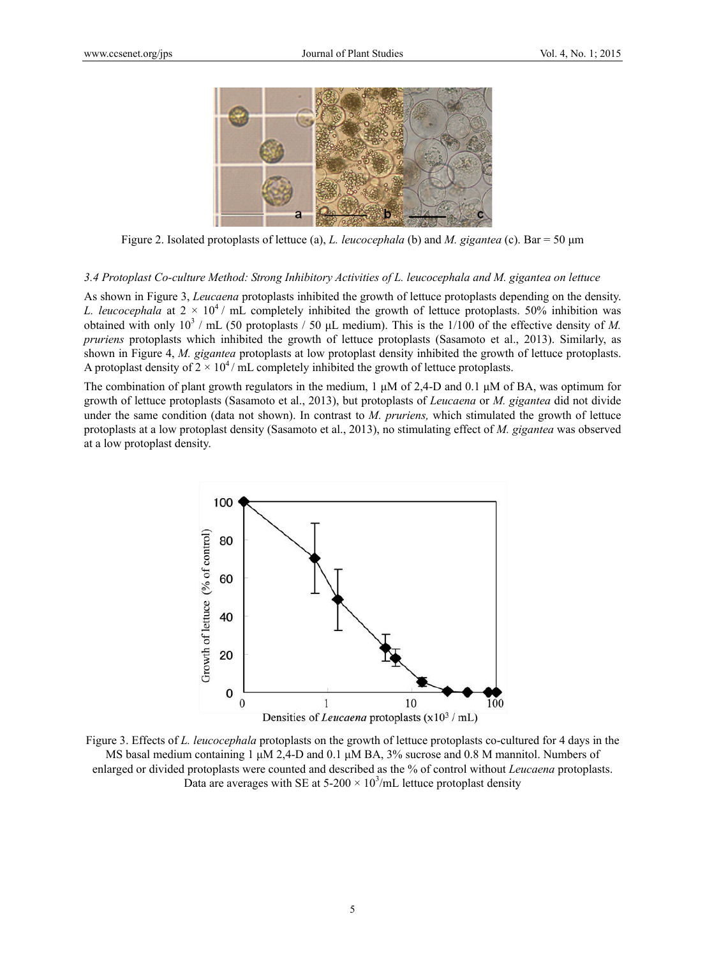

Figure 2. Isolated protoplasts of lettuce (a), *L. leucocephala* (b) and *M. gigantea* (c). Bar = 50 μm

*3.4 Protoplast Co-culture Method: Strong Inhibitory Activities of L. leucocephala and M. gigantea on lettuce* 

As shown in Figure 3, *Leucaena* protoplasts inhibited the growth of lettuce protoplasts depending on the density. *L. leucocephala* at  $2 \times 10^4$  / mL completely inhibited the growth of lettuce protoplasts. 50% inhibition was obtained with only  $10^3$  / mL (50 protoplasts / 50  $\mu$ L medium). This is the 1/100 of the effective density of *M*. *pruriens* protoplasts which inhibited the growth of lettuce protoplasts (Sasamoto et al., 2013). Similarly, as shown in Figure 4, *M. gigantea* protoplasts at low protoplast density inhibited the growth of lettuce protoplasts. A protoplast density of  $2 \times 10^4$  / mL completely inhibited the growth of lettuce protoplasts.

The combination of plant growth regulators in the medium, 1  $\mu$ M of 2,4-D and 0.1  $\mu$ M of BA, was optimum for growth of lettuce protoplasts (Sasamoto et al., 2013), but protoplasts of *Leucaena* or *M. gigantea* did not divide under the same condition (data not shown). In contrast to *M. pruriens,* which stimulated the growth of lettuce protoplasts at a low protoplast density (Sasamoto et al., 2013), no stimulating effect of *M. gigantea* was observed at a low protoplast density.



Figure 3. Effects of *L. leucocephala* protoplasts on the growth of lettuce protoplasts co-cultured for 4 days in the MS basal medium containing 1 μM 2,4-D and 0.1 μM BA, 3% sucrose and 0.8 M mannitol. Numbers of enlarged or divided protoplasts were counted and described as the % of control without *Leucaena* protoplasts. Data are averages with SE at  $5{\text -}200 \times 10^3$ /mL lettuce protoplast density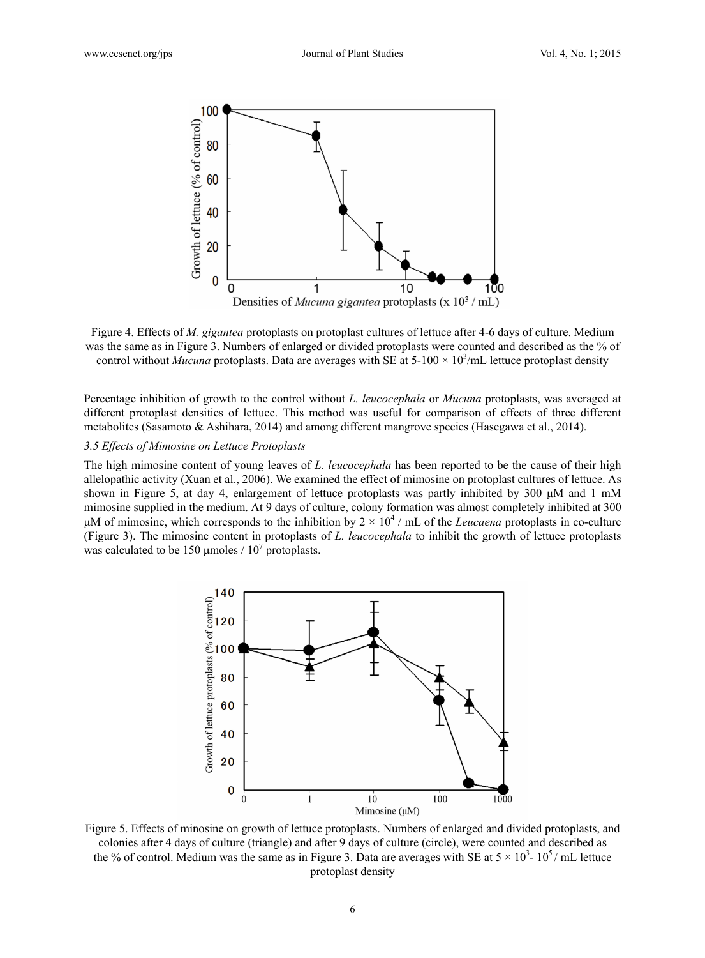

Figure 4. Effects of *M. gigantea* protoplasts on protoplast cultures of lettuce after 4-6 days of culture. Medium was the same as in Figure 3. Numbers of enlarged or divided protoplasts were counted and described as the % of control without *Mucuna* protoplasts. Data are averages with SE at  $5{\text -}100 \times 10^3/\text{m}$ L lettuce protoplast density

Percentage inhibition of growth to the control without *L. leucocephala* or *Mucuna* protoplasts, was averaged at different protoplast densities of lettuce. This method was useful for comparison of effects of three different metabolites (Sasamoto & Ashihara, 2014) and among different mangrove species (Hasegawa et al., 2014).

#### *3.5 Effects of Mimosine on Lettuce Protoplasts*

The high mimosine content of young leaves of *L. leucocephala* has been reported to be the cause of their high allelopathic activity (Xuan et al., 2006). We examined the effect of mimosine on protoplast cultures of lettuce. As shown in Figure 5, at day 4, enlargement of lettuce protoplasts was partly inhibited by 300 μM and 1 mM mimosine supplied in the medium. At 9 days of culture, colony formation was almost completely inhibited at 300 μM of mimosine, which corresponds to the inhibition by  $2 \times 10^4$  / mL of the *Leucaena* protoplasts in co-culture (Figure 3). The mimosine content in protoplasts of *L. leucocephala* to inhibit the growth of lettuce protoplasts was calculated to be 150 µmoles  $/ 10^7$  protoplasts.



Figure 5. Effects of minosine on growth of lettuce protoplasts. Numbers of enlarged and divided protoplasts, and colonies after 4 days of culture (triangle) and after 9 days of culture (circle), were counted and described as the % of control. Medium was the same as in Figure 3. Data are averages with SE at  $5 \times 10^3$ -  $10^5$ / mL lettuce protoplast density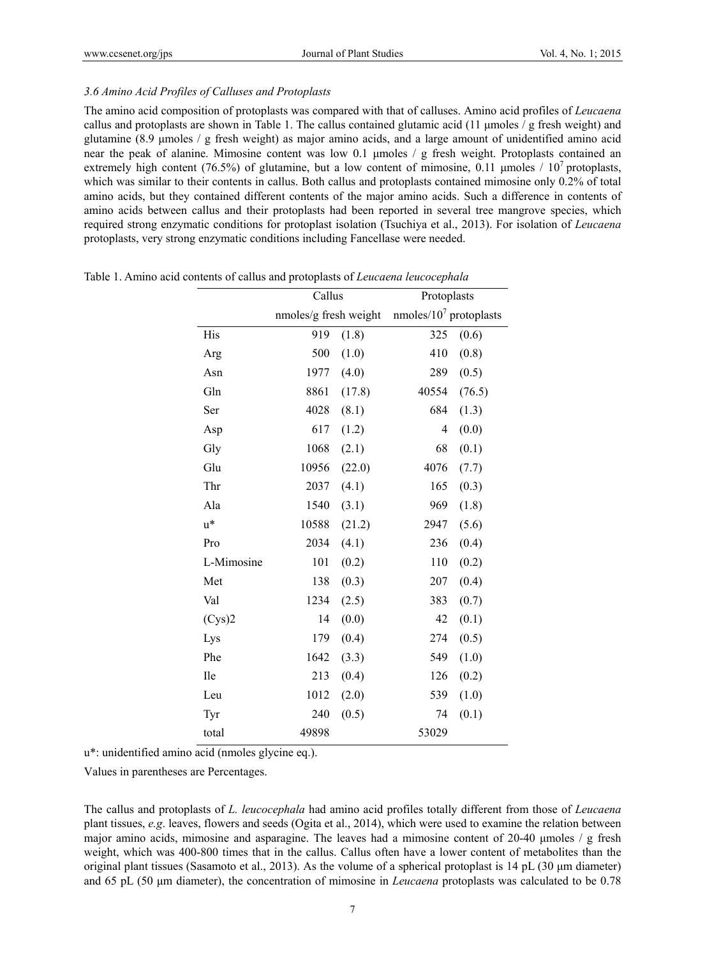## *3.6 Amino Acid Profiles of Calluses and Protoplasts*

The amino acid composition of protoplasts was compared with that of calluses. Amino acid profiles of *Leucaena* callus and protoplasts are shown in Table 1. The callus contained glutamic acid (11 μmoles / g fresh weight) and glutamine (8.9 μmoles / g fresh weight) as major amino acids, and a large amount of unidentified amino acid near the peak of alanine. Mimosine content was low 0.1 μmoles / g fresh weight. Protoplasts contained an extremely high content (76.5%) of glutamine, but a low content of mimosine, 0.11 umoles  $/10^7$  protoplasts, which was similar to their contents in callus. Both callus and protoplasts contained mimosine only 0.2% of total amino acids, but they contained different contents of the major amino acids. Such a difference in contents of amino acids between callus and their protoplasts had been reported in several tree mangrove species, which required strong enzymatic conditions for protoplast isolation (Tsuchiya et al., 2013). For isolation of *Leucaena* protoplasts, very strong enzymatic conditions including Fancellase were needed.

|            | Callus                |        | Protoplasts                  |        |  |  |
|------------|-----------------------|--------|------------------------------|--------|--|--|
|            | nmoles/g fresh weight |        | $n$ moles/ $107$ protoplasts |        |  |  |
| His        | 919                   | (1.8)  | 325                          | (0.6)  |  |  |
| Arg        | 500                   | (1.0)  | 410                          | (0.8)  |  |  |
| Asn        | 1977                  | (4.0)  | 289                          | (0.5)  |  |  |
| Gln        | 8861                  | (17.8) | 40554                        | (76.5) |  |  |
| Ser        | 4028                  | (8.1)  | 684                          | (1.3)  |  |  |
| Asp        | 617                   | (1.2)  | 4                            | (0.0)  |  |  |
| Gly        | 1068                  | (2.1)  | 68                           | (0.1)  |  |  |
| Glu        | 10956                 | (22.0) | 4076                         | (7.7)  |  |  |
| Thr        | 2037                  | (4.1)  | 165                          | (0.3)  |  |  |
| Ala        | 1540                  | (3.1)  | 969                          | (1.8)  |  |  |
| $u^*$      | 10588                 | (21.2) | 2947                         | (5.6)  |  |  |
| Pro        | 2034                  | (4.1)  | 236                          | (0.4)  |  |  |
| L-Mimosine | 101                   | (0.2)  | 110                          | (0.2)  |  |  |
| Met        | 138                   | (0.3)  | 207                          | (0.4)  |  |  |
| Val        | 1234                  | (2.5)  | 383                          | (0.7)  |  |  |
| (Cys)2     | 14                    | (0.0)  | 42                           | (0.1)  |  |  |
| Lys        | 179                   | (0.4)  | 274                          | (0.5)  |  |  |
| Phe        | 1642                  | (3.3)  | 549                          | (1.0)  |  |  |
| Ile        | 213                   | (0.4)  | 126                          | (0.2)  |  |  |
| Leu        | 1012                  | (2.0)  | 539                          | (1.0)  |  |  |
| Tyr        | 240                   | (0.5)  | 74                           | (0.1)  |  |  |
| total      | 49898                 |        | 53029                        |        |  |  |

Table 1. Amino acid contents of callus and protoplasts of *Leucaena leucocephala*

u\*: unidentified amino acid (nmoles glycine eq.).

Values in parentheses are Percentages.

The callus and protoplasts of *L. leucocephala* had amino acid profiles totally different from those of *Leucaena* plant tissues, *e.g*. leaves, flowers and seeds (Ogita et al., 2014), which were used to examine the relation between major amino acids, mimosine and asparagine. The leaves had a mimosine content of 20-40 μmoles / g fresh weight, which was 400-800 times that in the callus. Callus often have a lower content of metabolites than the original plant tissues (Sasamoto et al., 2013). As the volume of a spherical protoplast is 14 pL (30 μm diameter) and 65 pL (50 μm diameter), the concentration of mimosine in *Leucaena* protoplasts was calculated to be 0.78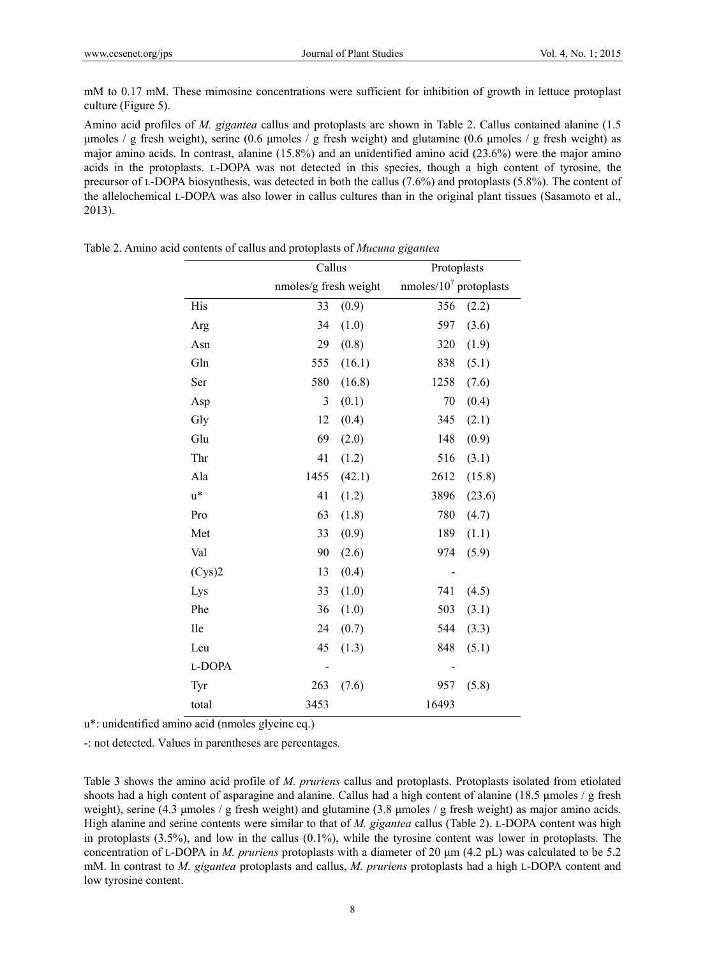mM to 0.17 mM. These mimosine concentrations were sufficient for inhibition of growth in lettuce protoplast culture (Figure 5).

Amino acid profiles of *M. gigantea* callus and protoplasts are shown in Table 2. Callus contained alanine (1.5 μmoles / g fresh weight), serine (0.6 μmoles / g fresh weight) and glutamine (0.6 μmoles / g fresh weight) as major amino acids. In contrast, alanine (15.8%) and an unidentified amino acid (23.6%) were the major amino acids in the protoplasts. L-DOPA was not detected in this species, though a high content of tyrosine, the precursor of L-DOPA biosynthesis, was detected in both the callus (7.6%) and protoplasts (5.8%). The content of the allelochemical L-DOPA was also lower in callus cultures than in the original plant tissues (Sasamoto et al., 2013).

|        | Callus                |        | Protoplasts                |        |  |  |
|--------|-----------------------|--------|----------------------------|--------|--|--|
|        | nmoles/g fresh weight |        | nmoles/ $10^7$ protoplasts |        |  |  |
| His    | 33                    | (0.9)  | 356                        | (2.2)  |  |  |
| Arg    | 34                    | (1.0)  | 597                        | (3.6)  |  |  |
| Asn    | 29                    | (0.8)  | 320                        | (1.9)  |  |  |
| Gln    | 555                   | (16.1) | 838                        | (5.1)  |  |  |
| Ser    | 580                   | (16.8) | 1258                       | (7.6)  |  |  |
| Asp    | 3                     | (0.1)  | 70                         | (0.4)  |  |  |
| Gly    | 12                    | (0.4)  | 345                        | (2.1)  |  |  |
| Glu    | 69                    | (2.0)  | 148                        | (0.9)  |  |  |
| Thr    | 41                    | (1.2)  | 516                        | (3.1)  |  |  |
| Ala    | 1455                  | (42.1) | 2612                       | (15.8) |  |  |
| $u^*$  | 41                    | (1.2)  | 3896                       | (23.6) |  |  |
| Pro    | 63                    | (1.8)  | 780                        | (4.7)  |  |  |
| Met    | 33                    | (0.9)  | 189                        | (1.1)  |  |  |
| Val    | 90                    | (2.6)  | 974                        | (5.9)  |  |  |
| (Cys)2 | 13                    | (0.4)  |                            |        |  |  |
| Lys    | 33                    | (1.0)  | 741                        | (4.5)  |  |  |
| Phe    | 36                    | (1.0)  | 503                        | (3.1)  |  |  |
| Ile    | 24                    | (0.7)  | 544                        | (3.3)  |  |  |
| Leu    | 45                    | (1.3)  | 848                        | (5.1)  |  |  |
| L-DOPA |                       |        |                            |        |  |  |
| Tyr    | 263                   | (7.6)  | 957                        | (5.8)  |  |  |
| total  | 3453                  |        | 16493                      |        |  |  |

Table 2. Amino acid contents of callus and protoplasts of *Mucuna gigantea*

u\*: unidentified amino acid (nmoles glycine eq.)

-: not detected. Values in parentheses are percentages.

Table 3 shows the amino acid profile of *M. pruriens* callus and protoplasts. Protoplasts isolated from etiolated shoots had a high content of asparagine and alanine. Callus had a high content of alanine (18.5 µmoles / g fresh weight), serine (4.3 μmoles / g fresh weight) and glutamine (3.8 μmoles / g fresh weight) as major amino acids. High alanine and serine contents were similar to that of *M. gigantea* callus (Table 2). L-DOPA content was high in protoplasts  $(3.5\%)$ , and low in the callus  $(0.1\%)$ , while the tyrosine content was lower in protoplasts. The concentration of L-DOPA in *M. pruriens* protoplasts with a diameter of 20 μm (4.2 pL) was calculated to be 5.2 mM. In contrast to *M. gigantea* protoplasts and callus, *M. pruriens* protoplasts had a high L-DOPA content and low tyrosine content.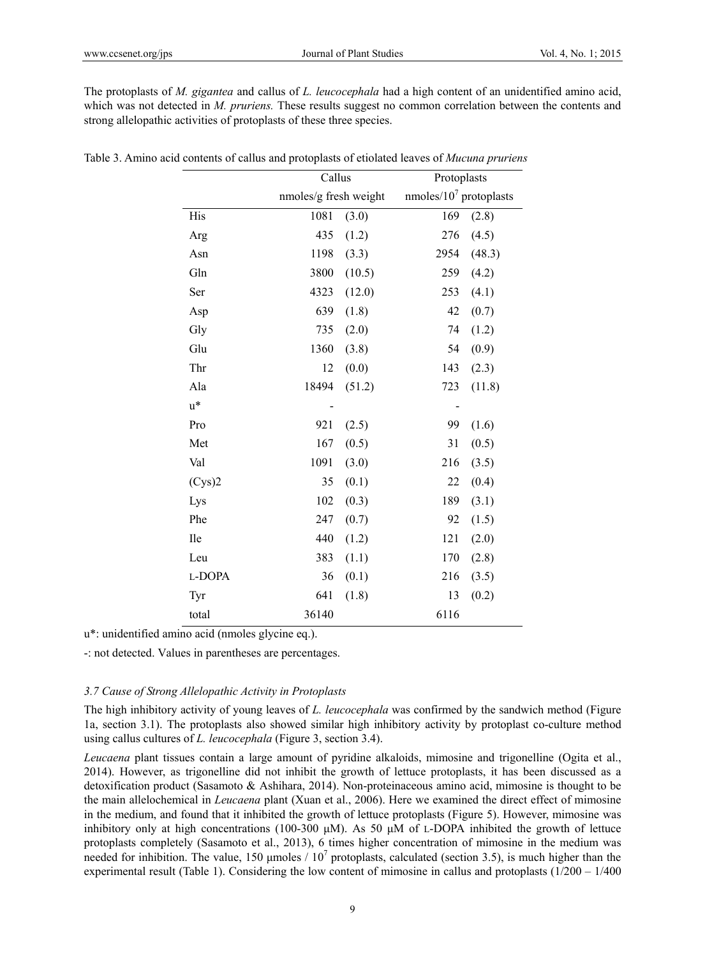The protoplasts of *M. gigantea* and callus of *L. leucocephala* had a high content of an unidentified amino acid, which was not detected in *M. pruriens*. These results suggest no common correlation between the contents and strong allelopathic activities of protoplasts of these three species.

|        | Callus                |        | Protoplasts                |        |  |  |
|--------|-----------------------|--------|----------------------------|--------|--|--|
|        | nmoles/g fresh weight |        | nmoles/ $10^7$ protoplasts |        |  |  |
| His    | 1081                  | (3.0)  | 169                        | (2.8)  |  |  |
| Arg    | 435                   | (1.2)  | 276                        | (4.5)  |  |  |
| Asn    | 1198                  | (3.3)  | 2954                       | (48.3) |  |  |
| Gln    | 3800                  | (10.5) | 259                        | (4.2)  |  |  |
| Ser    | 4323                  | (12.0) | 253                        | (4.1)  |  |  |
| Asp    | 639                   | (1.8)  | 42                         | (0.7)  |  |  |
| Gly    | 735                   | (2.0)  | 74                         | (1.2)  |  |  |
| Glu    | 1360                  | (3.8)  | 54                         | (0.9)  |  |  |
| Thr    | 12                    | (0.0)  | 143                        | (2.3)  |  |  |
| Ala    | 18494                 | (51.2) | 723                        | (11.8) |  |  |
| $u^*$  |                       |        | -                          |        |  |  |
| Pro    | 921                   | (2.5)  | 99                         | (1.6)  |  |  |
| Met    | 167                   | (0.5)  | 31                         | (0.5)  |  |  |
| Val    | 1091                  | (3.0)  | 216                        | (3.5)  |  |  |
| (Cys)2 | 35                    | (0.1)  | 22                         | (0.4)  |  |  |
| Lys    | 102                   | (0.3)  | 189                        | (3.1)  |  |  |
| Phe    | 247                   | (0.7)  | 92                         | (1.5)  |  |  |
| Ile    | 440                   | (1.2)  | 121                        | (2.0)  |  |  |
| Leu    | 383                   | (1.1)  | 170                        | (2.8)  |  |  |
| L-DOPA | 36                    | (0.1)  | 216                        | (3.5)  |  |  |
| Tyr    | 641                   | (1.8)  | 13                         | (0.2)  |  |  |
| total  | 36140                 |        | 6116                       |        |  |  |

| Table 3. Amino acid contents of callus and protoplasts of etiolated leaves of <i>Mucuna pruriens</i> |  |  |  |  |  |  |  |  |  |  |  |  |  |  |  |
|------------------------------------------------------------------------------------------------------|--|--|--|--|--|--|--|--|--|--|--|--|--|--|--|
|------------------------------------------------------------------------------------------------------|--|--|--|--|--|--|--|--|--|--|--|--|--|--|--|

u\*: unidentified amino acid (nmoles glycine eq.).

-: not detected. Values in parentheses are percentages.

#### *3.7 Cause of Strong Allelopathic Activity in Protoplasts*

The high inhibitory activity of young leaves of *L. leucocephala* was confirmed by the sandwich method (Figure 1a, section 3.1). The protoplasts also showed similar high inhibitory activity by protoplast co-culture method using callus cultures of *L. leucocephala* (Figure 3, section 3.4).

*Leucaena* plant tissues contain a large amount of pyridine alkaloids, mimosine and trigonelline (Ogita et al., 2014). However, as trigonelline did not inhibit the growth of lettuce protoplasts, it has been discussed as a detoxification product (Sasamoto & Ashihara, 2014). Non-proteinaceous amino acid, mimosine is thought to be the main allelochemical in *Leucaena* plant (Xuan et al., 2006). Here we examined the direct effect of mimosine in the medium, and found that it inhibited the growth of lettuce protoplasts (Figure 5). However, mimosine was inhibitory only at high concentrations (100-300 μM). As 50 μM of L-DOPA inhibited the growth of lettuce protoplasts completely (Sasamoto et al., 2013), 6 times higher concentration of mimosine in the medium was needed for inhibition. The value, 150 µmoles  $/ 10^7$  protoplasts, calculated (section 3.5), is much higher than the experimental result (Table 1). Considering the low content of mimosine in callus and protoplasts  $(1/200 - 1/400$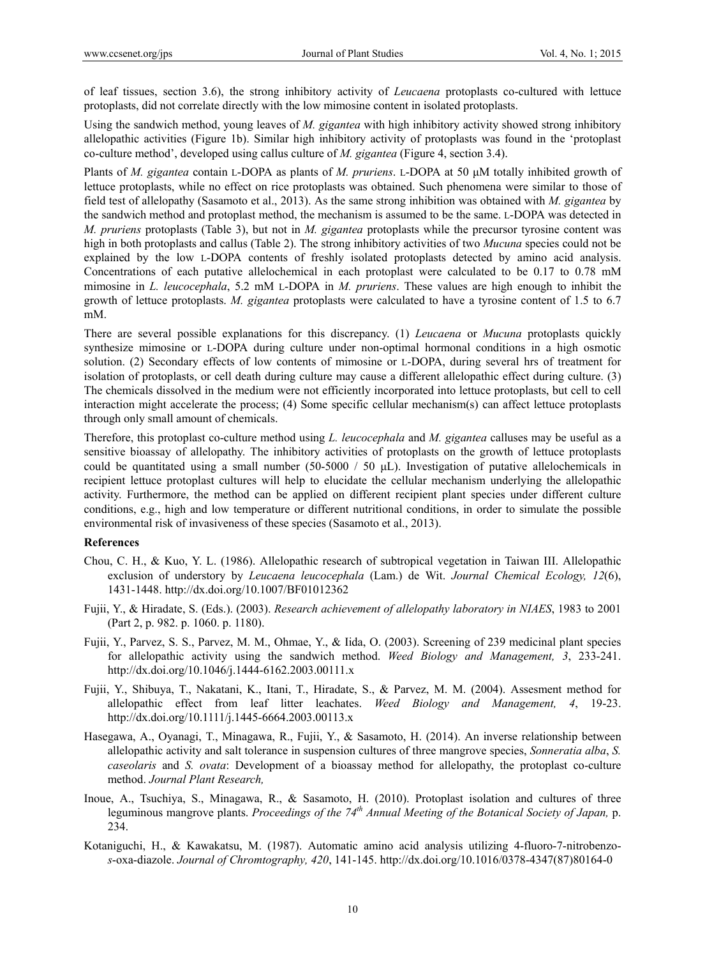of leaf tissues, section 3.6), the strong inhibitory activity of *Leucaena* protoplasts co-cultured with lettuce protoplasts, did not correlate directly with the low mimosine content in isolated protoplasts.

Using the sandwich method, young leaves of *M. gigantea* with high inhibitory activity showed strong inhibitory allelopathic activities (Figure 1b). Similar high inhibitory activity of protoplasts was found in the 'protoplast co-culture method', developed using callus culture of *M. gigantea* (Figure 4, section 3.4).

Plants of *M. gigantea* contain L-DOPA as plants of *M. pruriens*. L-DOPA at 50 μM totally inhibited growth of lettuce protoplasts, while no effect on rice protoplasts was obtained. Such phenomena were similar to those of field test of allelopathy (Sasamoto et al., 2013). As the same strong inhibition was obtained with *M. gigantea* by the sandwich method and protoplast method, the mechanism is assumed to be the same. L-DOPA was detected in *M. pruriens* protoplasts (Table 3), but not in *M. gigantea* protoplasts while the precursor tyrosine content was high in both protoplasts and callus (Table 2). The strong inhibitory activities of two *Mucuna* species could not be explained by the low L-DOPA contents of freshly isolated protoplasts detected by amino acid analysis. Concentrations of each putative allelochemical in each protoplast were calculated to be 0.17 to 0.78 mM mimosine in *L. leucocephala*, 5.2 mM L-DOPA in *M. pruriens*. These values are high enough to inhibit the growth of lettuce protoplasts. *M. gigantea* protoplasts were calculated to have a tyrosine content of 1.5 to 6.7 mM.

There are several possible explanations for this discrepancy. (1) *Leucaena* or *Mucuna* protoplasts quickly synthesize mimosine or L-DOPA during culture under non-optimal hormonal conditions in a high osmotic solution. (2) Secondary effects of low contents of mimosine or L-DOPA, during several hrs of treatment for isolation of protoplasts, or cell death during culture may cause a different allelopathic effect during culture. (3) The chemicals dissolved in the medium were not efficiently incorporated into lettuce protoplasts, but cell to cell interaction might accelerate the process; (4) Some specific cellular mechanism(s) can affect lettuce protoplasts through only small amount of chemicals.

Therefore, this protoplast co-culture method using *L. leucocephala* and *M. gigantea* calluses may be useful as a sensitive bioassay of allelopathy. The inhibitory activities of protoplasts on the growth of lettuce protoplasts could be quantitated using a small number (50-5000 / 50  $\mu$ L). Investigation of putative allelochemicals in recipient lettuce protoplast cultures will help to elucidate the cellular mechanism underlying the allelopathic activity. Furthermore, the method can be applied on different recipient plant species under different culture conditions, e.g., high and low temperature or different nutritional conditions, in order to simulate the possible environmental risk of invasiveness of these species (Sasamoto et al., 2013).

#### **References**

- Chou, C. H., & Kuo, Y. L. (1986). Allelopathic research of subtropical vegetation in Taiwan III. Allelopathic exclusion of understory by *Leucaena leucocephala* (Lam.) de Wit. *Journal Chemical Ecology, 12*(6), 1431-1448. http://dx.doi.org/10.1007/BF01012362
- Fujii, Y., & Hiradate, S. (Eds.). (2003). *Research achievement of allelopathy laboratory in NIAES*, 1983 to 2001 (Part 2, p. 982. p. 1060. p. 1180).
- Fujii, Y., Parvez, S. S., Parvez, M. M., Ohmae, Y., & Iida, O. (2003). Screening of 239 medicinal plant species for allelopathic activity using the sandwich method. *Weed Biology and Management, 3*, 233-241. http://dx.doi.org/10.1046/j.1444-6162.2003.00111.x
- Fujii, Y., Shibuya, T., Nakatani, K., Itani, T., Hiradate, S., & Parvez, M. M. (2004). Assesment method for allelopathic effect from leaf litter leachates. *Weed Biology and Management, 4*, 19-23. http://dx.doi.org/10.1111/j.1445-6664.2003.00113.x
- Hasegawa, A., Oyanagi, T., Minagawa, R., Fujii, Y., & Sasamoto, H. (2014). An inverse relationship between allelopathic activity and salt tolerance in suspension cultures of three mangrove species, *Sonneratia alba*, *S. caseolaris* and *S. ovata*: Development of a bioassay method for allelopathy, the protoplast co-culture method. *Journal Plant Research,*
- Inoue, A., Tsuchiya, S., Minagawa, R., & Sasamoto, H. (2010). Protoplast isolation and cultures of three leguminous mangrove plants. *Proceedings of the 74th Annual Meeting of the Botanical Society of Japan,* p. 234.
- Kotaniguchi, H., & Kawakatsu, M. (1987). Automatic amino acid analysis utilizing 4-fluoro-7-nitrobenzo*s*-oxa-diazole. *Journal of Chromtography, 420*, 141-145. http://dx.doi.org/10.1016/0378-4347(87)80164-0